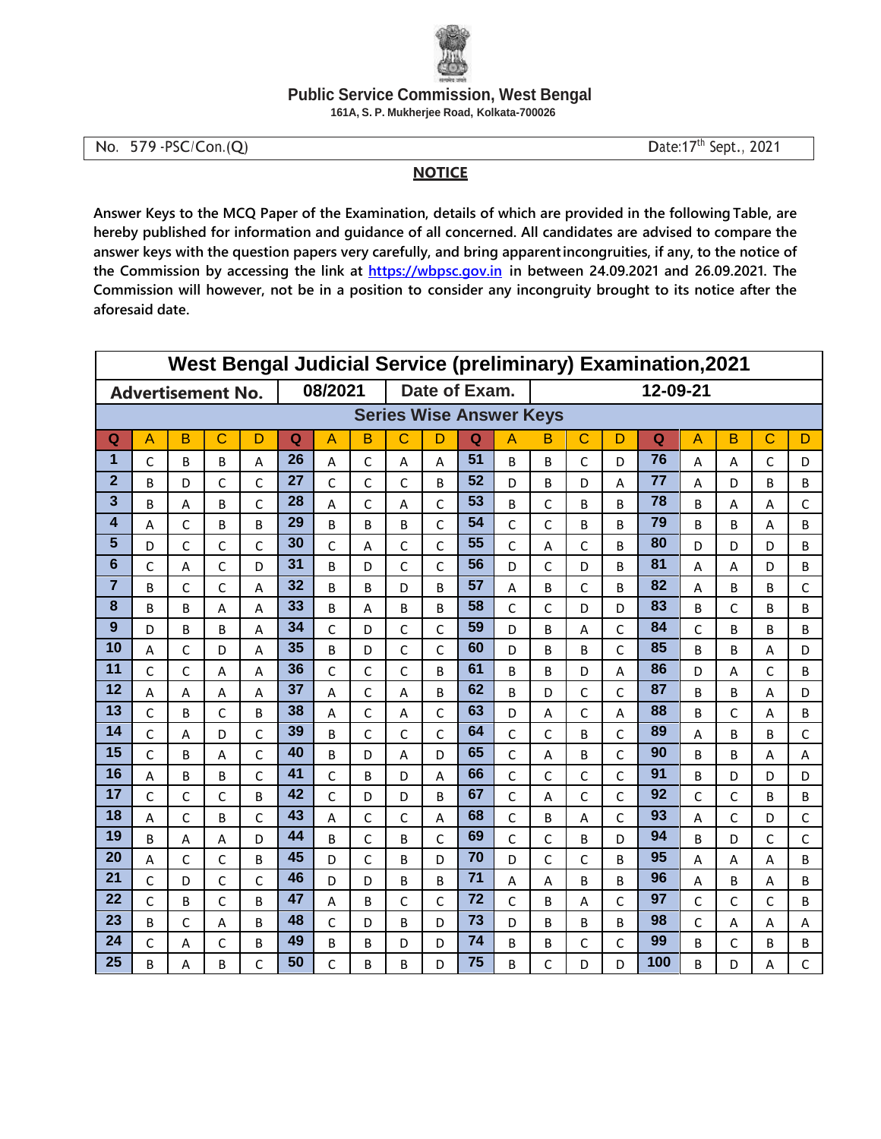

## **Public Service Commission, West Bengal**

161A, S. P. Mukherjee Road, Kolkata-700026

No. 579 - PSC/Con.(Q)

Date: 17th Sept., 2021

## **NOTICE**

Answer Keys to the MCQ Paper of the Examination, details of which are provided in the following Table, are hereby published for information and guidance of all concerned. All candidates are advised to compare the answer keys with the question papers very carefully, and bring apparentincongruities, if any, to the notice of the Commission by accessing the link at https://wbpsc.gov.in in between 24.09.2021 and 26.09.2021. The Commission will however, not be in a position to consider any incongruity brought to its notice after the aforesaid date.

| <b>West Bengal Judicial Service (preliminary) Examination, 2021</b> |                |              |                          |              |         |              |              |               |              |    |                |              |              |              |     |              |                |             |              |  |
|---------------------------------------------------------------------|----------------|--------------|--------------------------|--------------|---------|--------------|--------------|---------------|--------------|----|----------------|--------------|--------------|--------------|-----|--------------|----------------|-------------|--------------|--|
|                                                                     |                |              | <b>Advertisement No.</b> |              | 08/2021 |              |              | Date of Exam. |              |    |                | 12-09-21     |              |              |     |              |                |             |              |  |
| <b>Series Wise Answer Keys</b>                                      |                |              |                          |              |         |              |              |               |              |    |                |              |              |              |     |              |                |             |              |  |
| Q                                                                   | $\overline{A}$ | B            | $\mathbf C$              | D            | Q       | A            | B            | $\mathsf C$   | D            | Q  | $\overline{A}$ | в            | $\mathsf{C}$ | D            | Q   | A            | B              | $\mathbf C$ | D            |  |
| 1                                                                   | C              | B            | B                        | A            | 26      | A            | C            | A             | A            | 51 | <sub>B</sub>   | B            | $\mathsf{C}$ | D            | 76  | A            | $\overline{A}$ | C           | D            |  |
| $\overline{2}$                                                      | B              | D            | C                        | $\mathsf{C}$ | 27      | $\mathsf{C}$ | $\mathsf C$  | $\mathsf{C}$  | B            | 52 | D              | B            | D            | A            | 77  | A            | D              | B           | B            |  |
| 3                                                                   | B              | A            | B                        | $\mathsf{C}$ | 28      | Α            | $\mathsf{C}$ | A             | $\mathsf{C}$ | 53 | B              | C            | B            | B            | 78  | B            | Α              | A           | $\mathsf{C}$ |  |
| 4                                                                   | A              | $\mathsf{C}$ | B                        | B            | 29      | B            | B            | B             | $\mathsf{C}$ | 54 | $\mathsf{C}$   | C            | B            | B            | 79  | B            | B              | A           | B            |  |
| 5                                                                   | D              | $\mathsf{C}$ | C                        | $\mathsf{C}$ | 30      | $\mathsf{C}$ | Α            | $\mathsf{C}$  | $\mathsf{C}$ | 55 | $\mathsf{C}$   | A            | $\mathsf C$  | B            | 80  | D            | D              | D           | B            |  |
| 6                                                                   | C              | A            | C                        | D            | 31      | B            | D            | $\mathsf{C}$  | $\mathsf{C}$ | 56 | D              | $\mathsf{C}$ | D            | B            | 81  | A            | A              | D           | B            |  |
| $\overline{7}$                                                      | B              | $\mathsf{C}$ | C                        | A            | 32      | B            | B            | D             | B            | 57 | A              | B            | $\mathsf C$  | B            | 82  | A            | B              | B           | $\mathsf C$  |  |
| 8                                                                   | B              | B            | A                        | A            | 33      | B            | A            | B             | B            | 58 | $\mathsf{C}$   | $\mathsf{C}$ | D            | D            | 83  | B            | C              | B           | B            |  |
| 9                                                                   | D              | B            | B                        | A            | 34      | C            | D            | C             | C            | 59 | D              | B            | Α            | C            | 84  | $\mathsf{C}$ | B              | B           | B            |  |
| 10                                                                  | A              | $\mathsf{C}$ | D                        | A            | 35      | B            | D            | C             | C            | 60 | D              | B            | B            | $\mathsf{C}$ | 85  | B            | B              | A           | D            |  |
| 11                                                                  | C              | $\mathsf{C}$ | A                        | A            | 36      | C            | C            | C             | B            | 61 | B              | B            | D            | A            | 86  | D            | A              | C           | B            |  |
| 12                                                                  | A              | A            | A                        | A            | 37      | A            | $\mathsf{C}$ | A             | B            | 62 | B              | D            | $\mathsf C$  | $\mathsf{C}$ | 87  | B            | B              | A           | D            |  |
| 13                                                                  | C              | B            | C                        | B            | 38      | Α            | C            | A             | C            | 63 | D              | Α            | $\mathsf C$  | A            | 88  | B            | C              | A           | B            |  |
| 14                                                                  | Ċ              | A            | D                        | $\mathsf{C}$ | 39      | B            | $\mathsf{C}$ | C             | C            | 64 | $\mathsf{C}$   | C            | B            | C            | 89  | A            | B              | B           | $\mathsf{C}$ |  |
| 15                                                                  | Ċ              | B            | A                        | $\mathsf{C}$ | 40      | B            | D            | A             | D            | 65 | C              | A            | B            | C            | 90  | B            | B              | A           | A            |  |
| 16                                                                  | A              | B            | B                        | $\mathsf{C}$ | 41      | $\mathsf{C}$ | B            | D             | A            | 66 | $\mathsf{C}$   | $\mathsf{C}$ | $\mathsf{C}$ | $\mathsf{C}$ | 91  | B            | D              | D           | D            |  |
| 17                                                                  | C              | C            | C                        | B            | 42      | $\mathsf{C}$ | D            | D             | B            | 67 | C              | A            | C            | $\mathsf{C}$ | 92  | C            | C              | B           | B            |  |
| 18                                                                  | A              | $\mathsf{C}$ | B                        | $\mathsf{C}$ | 43      | A            | $\mathsf{C}$ | C             | A            | 68 | $\overline{C}$ | B            | A            | $\mathsf{C}$ | 93  | A            | Ċ              | D           | $\mathsf{C}$ |  |
| 19                                                                  | B              | A            | A                        | D            | 44      | B            | C            | B             | $\mathsf{C}$ | 69 | C              | C            | B            | D            | 94  | B            | D              | C           | C            |  |
| 20                                                                  | A              | $\mathsf{C}$ | C                        | B            | 45      | D            | $\mathsf{C}$ | B             | D            | 70 | D              | $\mathsf{C}$ | $\mathsf{C}$ | B            | 95  | A            | A              | A           | B            |  |
| 21                                                                  | C              | D            | C                        | C            | 46      | D            | D            | B             | B            | 71 | Α              | A            | B            | B            | 96  | Α            | B              | A           | B            |  |
| 22                                                                  | C              | B            | C                        | B            | 47      | A            | B            | $\mathsf{C}$  | $\mathsf{C}$ | 72 | C              | B            | A            | C            | 97  | C            | Ċ              | C           | B            |  |
| 23                                                                  | B              | $\mathsf{C}$ | A                        | B            | 48      | $\mathsf C$  | D            | B             | D            | 73 | D              | B            | В            | B            | 98  | C            | A              | A           | Α            |  |
| 24                                                                  | C              | A            | C                        | B            | 49      | B            | B            | D             | D            | 74 | B              | B            | $\mathsf{C}$ | C            | 99  | B            | Ċ              | B           | B            |  |
| 25                                                                  | B              | Α            | B                        | C            | 50      | C            | B            | B             | D            | 75 | B              | C            | D            | D            | 100 | B            | D              | A           | $\mathsf{C}$ |  |